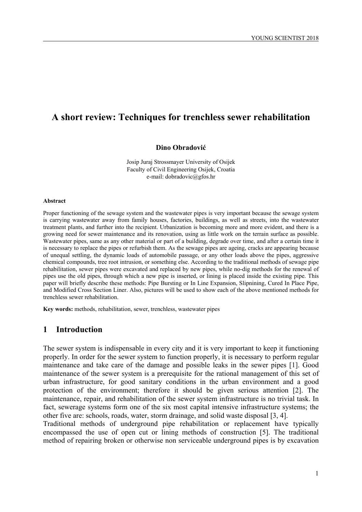# **A short review: Techniques for trenchless sewer rehabilitation**

#### **Dino Obradović**

Josip Juraj Strossmayer University of Osijek Faculty of Civil Engineering Osijek, Croatia e-mail: dobradovic@gfos.hr

#### **Abstract**

Proper functioning of the sewage system and the wastewater pipes is very important because the sewage system is carrying wastewater away from family houses, factories, buildings, as well as streets, into the wastewater treatment plants, and further into the recipient. Urbanization is becoming more and more evident, and there is a growing need for sewer maintenance and its renovation, using as little work on the terrain surface as possible. Wastewater pipes, same as any other material or part of a building, degrade over time, and after a certain time it is necessary to replace the pipes or refurbish them. As the sewage pipes are ageing, cracks are appearing because of unequal settling, the dynamic loads of automobile passage, or any other loads above the pipes, aggressive chemical compounds, tree root intrusion, or something else. According to the traditional methods of sewage pipe rehabilitation, sewer pipes were excavated and replaced by new pipes, while no-dig methods for the renewal of pipes use the old pipes, through which a new pipe is inserted, or lining is placed inside the existing pipe. This paper will briefly describe these methods: Pipe Bursting or In Line Expansion, Slipnining, Cured In Place Pipe, and Modified Cross Section Liner. Also, pictures will be used to show each of the above mentioned methods for trenchless sewer rehabilitation.

**Key words:** methods, rehabilitation, sewer, trenchless, wastewater pipes

#### **1 Introduction**

The sewer system is indispensable in every city and it is very important to keep it functioning properly. In order for the sewer system to function properly, it is necessary to perform regular maintenance and take care of the damage and possible leaks in the sewer pipes [1]. Good maintenance of the sewer system is a prerequisite for the rational management of this set of urban infrastructure, for good sanitary conditions in the urban environment and a good protection of the environment; therefore it should be given serious attention [2]. The maintenance, repair, and rehabilitation of the sewer system infrastructure is no trivial task. In fact, sewerage systems form one of the six most capital intensive infrastructure systems; the other five are: schools, roads, water, storm drainage, and solid waste disposal [3, 4].

Traditional methods of underground pipe rehabilitation or replacement have typically encompassed the use of open cut or lining methods of construction [5]. The traditional method of repairing broken or otherwise non serviceable underground pipes is by excavation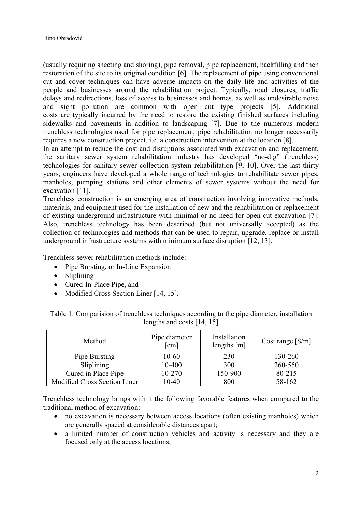(usually requiring sheeting and shoring), pipe removal, pipe replacement, backfilling and then restoration of the site to its original condition [6]. The replacement of pipe using conventional cut and cover techniques can have adverse impacts on the daily life and activities of the people and businesses around the rehabilitation project. Typically, road closures, traffic delays and redirections, loss of access to businesses and homes, as well as undesirable noise and sight pollution are common with open cut type projects [5]. Additional costs are typically incurred by the need to restore the existing finished surfaces including sidewalks and pavements in addition to landscaping [7]. Due to the numerous modern trenchless technologies used for pipe replacement, pipe rehabilitation no longer necessarily requires a new construction project, i.e. a construction intervention at the location [8].

In an attempt to reduce the cost and disruptions associated with excavation and replacement, the sanitary sewer system rehabilitation industry has developed "no-dig" (trenchless) technologies for sanitary sewer collection system rehabilitation [9, 10]. Over the last thirty years, engineers have developed a whole range of technologies to rehabilitate sewer pipes, manholes, pumping stations and other elements of sewer systems without the need for excavation [11].

Trenchless construction is an emerging area of construction involving innovative methods, materials, and equipment used for the installation of new and the rehabilitation or replacement of existing underground infrastructure with minimal or no need for open cut excavation [7]. Also, trenchless technology has been described (but not universally accepted) as the collection of technologies and methods that can be used to repair, upgrade, replace or install underground infrastructure systems with minimum surface disruption [12, 13].

Trenchless sewer rehabilitation methods include:

- Pipe Bursting, or In-Line Expansion
- Sliplining
- Cured-In-Place Pipe, and
- Modified Cross Section Liner [14, 15].

| Method                       | Pipe diameter<br>$\lceil$ cm $\rceil$ | Installation<br>lengths $[m]$ | Cost range $[\frac{8}{m}]$ |
|------------------------------|---------------------------------------|-------------------------------|----------------------------|
| Pipe Bursting                | 10-60                                 | 230                           | 130-260                    |
| Sliplining                   | 10-400                                | 300                           | 260-550                    |
| Cured in Place Pipe          | 10-270                                | 150-900                       | 80-215                     |
| Modified Cross Section Liner | $10-40$                               | 800                           | 58-162                     |

Table 1: Comparision of trenchless techniques according to the pipe diameter, installation lengths and costs [14, 15]

Trenchless technology brings with it the following favorable features when compared to the traditional method of excavation:

- no excavation is necessary between access locations (often existing manholes) which are generally spaced at considerable distances apart;
- a limited number of construction vehicles and activity is necessary and they are focused only at the access locations;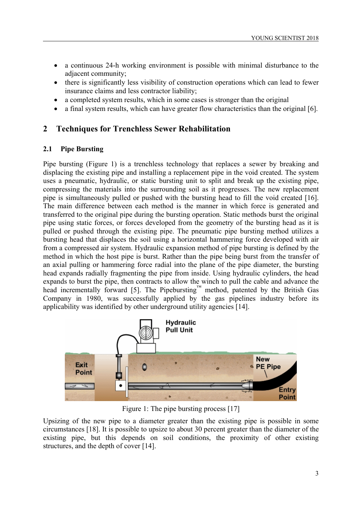- a continuous 24-h working environment is possible with minimal disturbance to the adjacent community;
- there is significantly less visibility of construction operations which can lead to fewer insurance claims and less contractor liability;
- a completed system results, which in some cases is stronger than the original
- a final system results, which can have greater flow characteristics than the original [6].

#### **2 Techniques for Trenchless Sewer Rehabilitation**

#### **2.1 Pipe Bursting**

Pipe bursting (Figure 1) is a trenchless technology that replaces a sewer by breaking and displacing the existing pipe and installing a replacement pipe in the void created. The system uses a pneumatic, hydraulic, or static bursting unit to split and break up the existing pipe, compressing the materials into the surrounding soil as it progresses. The new replacement pipe is simultaneously pulled or pushed with the bursting head to fill the void created [16]. The main difference between each method is the manner in which force is generated and transferred to the original pipe during the bursting operation. Static methods burst the original pipe using static forces, or forces developed from the geometry of the bursting head as it is pulled or pushed through the existing pipe. The pneumatic pipe bursting method utilizes a bursting head that displaces the soil using a horizontal hammering force developed with air from a compressed air system. Hydraulic expansion method of pipe bursting is defined by the method in which the host pipe is burst. Rather than the pipe being burst from the transfer of an axial pulling or hammering force radial into the plane of the pipe diameter, the bursting head expands radially fragmenting the pipe from inside. Using hydraulic cylinders, the head expands to burst the pipe, then contracts to allow the winch to pull the cable and advance the head incrementally forward [5]. The Pipebursting™ method, patented by the British Gas Company in 1980, was successfully applied by the gas pipelines industry before its applicability was identified by other underground utility agencies [14].



Figure 1: The pipe bursting process [17]

Upsizing of the new pipe to a diameter greater than the existing pipe is possible in some circumstances [18]. It is possible to upsize to about 30 percent greater than the diameter of the existing pipe, but this depends on soil conditions, the proximity of other existing structures, and the depth of cover [14].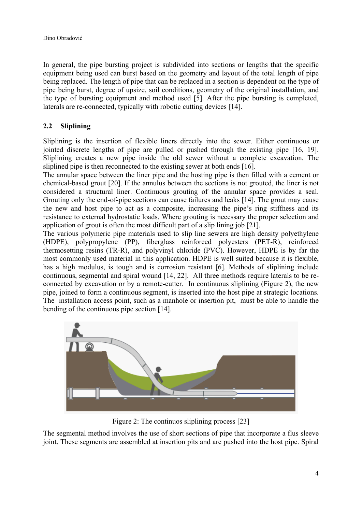In general, the pipe bursting project is subdivided into sections or lengths that the specific equipment being used can burst based on the geometry and layout of the total length of pipe being replaced. The length of pipe that can be replaced in a section is dependent on the type of pipe being burst, degree of upsize, soil conditions, geometry of the original installation, and the type of bursting equipment and method used [5]. After the pipe bursting is completed, laterals are re-connected, typically with robotic cutting devices [14].

# **2.2 Sliplining**

Sliplining is the insertion of flexible liners directly into the sewer. Either continuous or jointed discrete lengths of pipe are pulled or pushed through the existing pipe [16, 19]. Sliplining creates a new pipe inside the old sewer without a complete excavation. The sliplined pipe is then reconnected to the existing sewer at both ends [16].

The annular space between the liner pipe and the hosting pipe is then filled with a cement or chemical-based grout [20]. If the annulus between the sections is not grouted, the liner is not considered a structural liner. Continuous grouting of the annular space provides a seal. Grouting only the end-of-pipe sections can cause failures and leaks [14]. The grout may cause the new and host pipe to act as a composite, increasing the pipe's ring stiffness and its resistance to external hydrostatic loads. Where grouting is necessary the proper selection and application of grout is often the most difficult part of a slip lining job [21].

The various polymeric pipe materials used to slip line sewers are high density polyethylene (HDPE), polypropylene (PP), fiberglass reinforced polyesters (PET-R), reinforced thermosetting resins (TR-R), and polyvinyl chloride (PVC). However, HDPE is by far the most commonly used material in this application. HDPE is well suited because it is flexible, has a high modulus, is tough and is corrosion resistant [6]. Methods of sliplining include continuous, segmental and spiral wound [14, 22]. All three methods require laterals to be reconnected by excavation or by a remote-cutter. In continuous sliplining (Figure 2), the new pipe, joined to form a continuous segment, is inserted into the host pipe at strategic locations. The installation access point, such as a manhole or insertion pit, must be able to handle the bending of the continuous pipe section [14].



Figure 2: The continuos sliplining process [23]

The segmental method involves the use of short sections of pipe that incorporate a flus sleeve joint. These segments are assembled at insertion pits and are pushed into the host pipe. Spiral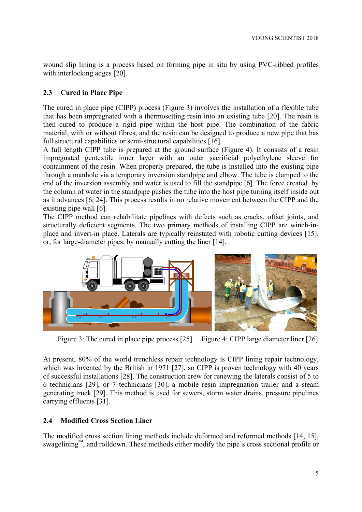wound slip lining is a process based on forming pipe in situ by using PVC-ribbed profiles with interlocking adges [20].

## **2.3 Cured in Place Pipe**

The cured in place pipe (CIPP) process (Figure 3) involves the installation of a flexible tube that has been impregnated with a thermosetting resin into an existing tube [20]. The resin is then cured to produce a rigid pipe within the host pipe. The combination of the fabric material, with or without fibres, and the resin can be designed to produce a new pipe that has full structural capabilities or semi-structural capabilities [16].

A full length CIPP tube is prepared at the ground surface (Figure 4). It consists of a resin impregnated geotextile inner layer with an outer sacrificial polyethylene sleeve for containment of the resin. When properly prepared, the tube is installed into the existing pipe through a manhole via a temporary inversion standpipe and elbow. The tube is clamped to the end of the inversion assembly and water is used to fill the standpipe [6]. The force created by the column of water in the standpipe pushes the tube into the host pipe turning itself inside out as it advances [6, 24]. This process results in no relative movement between the CIPP and the existing pipe wall [6].

The CIPP method can rehabilitate pipelines with defects such as cracks, offset joints, and structurally deficient segments. The two primary methods of installing CIPP are winch-inplace and invert-in place. Laterals are typically reinstated with robotic cutting devices [15], or, for large-diameter pipes, by manually cutting the liner [14].



Figure 3: The cured in place pipe process [25] Figure 4: CIPP large diameter liner [26]

At present, 80% of the world trenchless repair technology is CIPP lining repair technology, which was invented by the British in 1971 [27], so CIPP is proven technology with 40 years of successful installations [28]. The construction crew for renewing the laterals consist of 5 to 6 technicians [29], or 7 technicians [30], a mobile resin impregnation trailer and a steam generating truck [29]. This method is used for sewers, storm water drains, pressure pipelines carrying effluents [31].

# **2.4 Modified Cross Section Liner**

The modified cross section lining methods include deformed and reformed methods [14, 15], swagelining<sup>™</sup>, and rolldown. These methods either modify the pipe's cross sectional profile or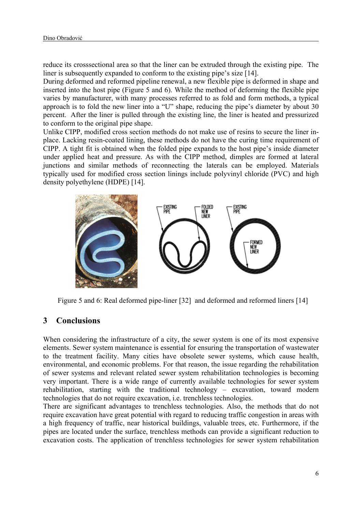reduce its crosssectional area so that the liner can be extruded through the existing pipe. The liner is subsequently expanded to conform to the existing pipe's size [14].

During deformed and reformed pipeline renewal, a new flexible pipe is deformed in shape and inserted into the host pipe (Figure 5 and 6). While the method of deforming the flexible pipe varies by manufacturer, with many processes referred to as fold and form methods, a typical approach is to fold the new liner into a "U" shape, reducing the pipe's diameter by about 30 percent. After the liner is pulled through the existing line, the liner is heated and pressurized to conform to the original pipe shape.

Unlike CIPP, modified cross section methods do not make use of resins to secure the liner inplace. Lacking resin-coated lining, these methods do not have the curing time requirement of CIPP. A tight fit is obtained when the folded pipe expands to the host pipe's inside diameter under applied heat and pressure. As with the CIPP method, dimples are formed at lateral junctions and similar methods of reconnecting the laterals can be employed. Materials typically used for modified cross section linings include polyvinyl chloride (PVC) and high density polyethylene (HDPE) [14].



Figure 5 and 6: Real deformed pipe-liner [32] and deformed and reformed liners [14]

### **3 Conclusions**

When considering the infrastructure of a city, the sewer system is one of its most expensive elements. Sewer system maintenance is essential for ensuring the transportation of wastewater to the treatment facility. Many cities have obsolete sewer systems, which cause health, environmental, and economic problems. For that reason, the issue regarding the rehabilitation of sewer systems and relevant related sewer system rehabilitation technologies is becoming very important. There is a wide range of currently available technologies for sewer system rehabilitation, starting with the traditional technology – excavation, toward modern technologies that do not require excavation, i.e. trenchless technologies.

There are significant advantages to trenchless technologies. Also, the methods that do not require excavation have great potential with regard to reducing traffic congestion in areas with a high frequency of traffic, near historical buildings, valuable trees, etc. Furthermore, if the pipes are located under the surface, trenchless methods can provide a significant reduction to excavation costs. The application of trenchless technologies for sewer system rehabilitation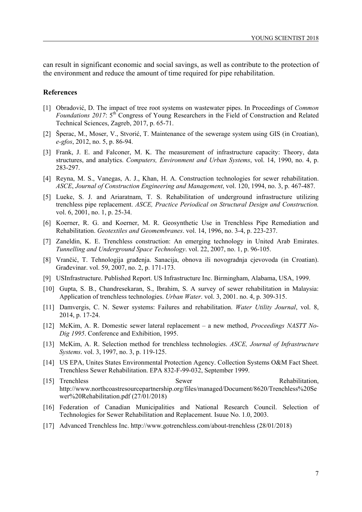can result in significant economic and social savings, as well as contribute to the protection of the environment and reduce the amount of time required for pipe rehabilitation.

#### **References**

- [1] Obradović, D. The impact of tree root systems on wastewater pipes. In Proceedings of *Common Foundations 2017*: 5th Congress of Young Researchers in the Field of Construction and Related Technical Sciences, Zagreb, 2017, p. 65-71.
- [2] Šperac, M., Moser, V., Stvorić, T. Maintenance of the sewerage system using GIS (in Croatian), *e-gfos*, 2012, no. 5, p. 86-94.
- [3] Frank, J. E. and Falconer, M. K. The measurement of infrastructure capacity: Theory, data structures, and analytics. *Computers, Environment and Urban Systems*, vol. 14, 1990, no. 4, p. 283-297.
- [4] Reyna, M. S., Vanegas, A. J., Khan, H. A. Construction technologies for sewer rehabilitation. *ASCE*, *Journal of Construction Engineering and Management*, vol. 120, 1994, no. 3, p. 467-487.
- [5] Lueke, S. J. and Ariaratnam, T. S. Rehabilitation of underground infrastructure utilizing trenchless pipe replacement. *ASCE, Practice Periodical on Structural Design and Construction.* vol. 6, 2001, no. 1, p. 25-34.
- [6] Koerner, R. G. and Koerner, M. R. Geosynthetic Use in Trenchless Pipe Remediation and Rehabilitation. *Geotextiles and Geomembranes*. vol. 14, 1996, no. 3-4, p. 223-237.
- [7] Zaneldin, K. E. Trenchless construction: An emerging technology in United Arab Emirates. *Tunnelling and Underground Space Technology*. vol. 22, 2007, no. 1, p. 96-105.
- [8] Vrančić, T. Tehnologija građenja. Sanacija, obnova ili novogradnja cjevovoda (in Croatian). Građevinar. vol. 59, 2007, no. 2, p. 171-173.
- [9] USInfrastructure. Published Report. US Infrastructure Inc. Birmingham, Alabama, USA, 1999.
- [10] Gupta, S. B., Chandresekaran, S., Ibrahim, S. A survey of sewer rehabilitation in Malaysia: Application of trenchless technologies. *Urban Water*. vol. 3, 2001. no. 4, p. 309-315.
- [11] Damvergis, C. N. Sewer systems: Failures and rehabilitation. *Water Utility Journal*, vol. 8, 2014, p. 17-24.
- [12] McKim, A. R. Domestic sewer lateral replacement a new method, *Proceedings NASTT No-Dig 1995*. Conference and Exhibition, 1995.
- [13] McKim, A. R. Selection method for trenchless technologies. *ASCE, Journal of Infrastructure Systems*. vol. 3, 1997, no. 3, p. 119-125.
- [14] US EPA, Unites States Environmental Protection Agency. Collection Systems O&M Fact Sheet. Trenchless Sewer Rehabilitation. EPA 832-F-99-032, September 1999.
- [15] Trenchless Sewer Rehabilitation, http://www.northcoastresourcepartnership.org/files/managed/Document/8620/Trenchless%20Se wer%20Rehabilitation.pdf (27/01/2018)
- [16] Federation of Canadian Municipalities and National Research Council. Selection of Technologies for Sewer Rehabilitation and Replacement. Isuue No. 1.0, 2003.
- [17] Advanced Trenchless Inc. http://www.gotrenchless.com/about-trenchless (28/01/2018)